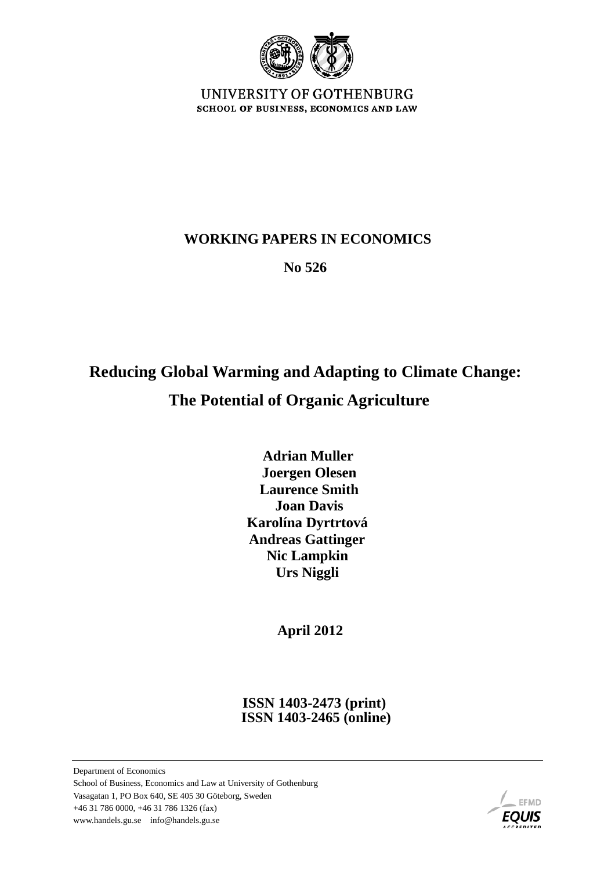

UNIVERSITY OF GOTHENBURG SCHOOL OF BUSINESS, ECONOMICS AND LAW

## **WORKING PAPERS IN ECONOMICS**

 **No 526**

# **Reducing Global Warming and Adapting to Climate Change: The Potential of Organic Agriculture**

 **Adrian Muller Joergen Olesen Laurence Smith Joan Davis Karolína Dyrtrtová Andreas Gattinger Nic Lampkin Urs Niggli** 

 **April 2012**

 **ISSN 1403-2473 (print) ISSN 1403-2465 (online)**

Department of Economics School of Business, Economics and Law at University of Gothenburg Vasagatan 1, PO Box 640, SE 405 30 Göteborg, Sweden +46 31 786 0000, +46 31 786 1326 (fax) www.handels.gu.se info@handels.gu.se

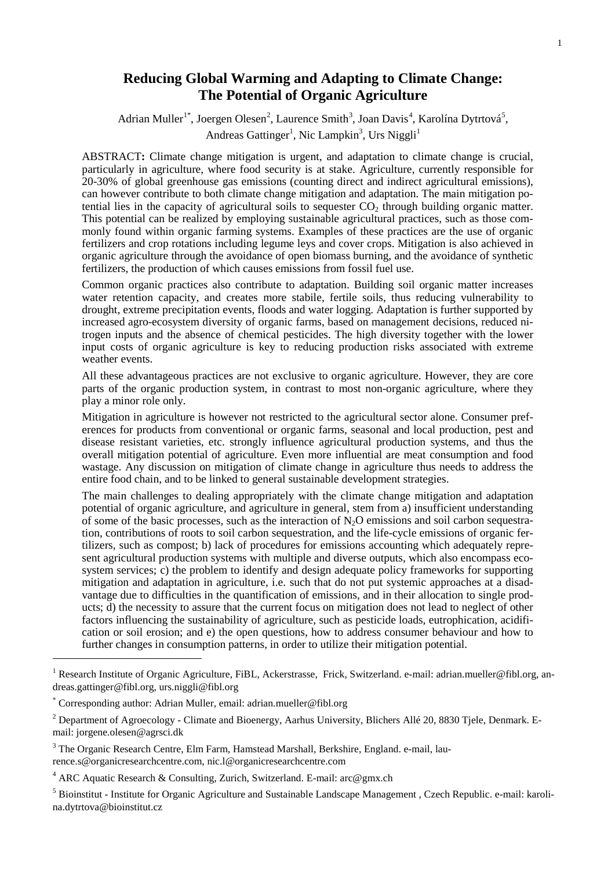### **Reducing Global Warming and Adapting to Climate Change: The Potential of Organic Agriculture**

Adrian Muller<sup>[1](#page-1-0)\*</sup>, Joergen Olesen<sup>[2](#page-1-1)</sup>, Laurence Smith<sup>[3](#page-1-2)</sup>, Joan Davis<sup>[4](#page-1-3)</sup>, Karolína Dytrtová<sup>[5](#page-1-4)</sup>, Andreas Gattinger<sup>1</sup>, Nic Lampkin<sup>3</sup>, Urs Niggli<sup>1</sup>

ABSTRACT**:** Climate change mitigation is urgent, and adaptation to climate change is crucial, particularly in agriculture, where food security is at stake. Agriculture, currently responsible for 20-30% of global greenhouse gas emissions (counting direct and indirect agricultural emissions), can however contribute to both climate change mitigation and adaptation. The main mitigation potential lies in the capacity of agricultural soils to sequester  $CO<sub>2</sub>$  through building organic matter. This potential can be realized by employing sustainable agricultural practices, such as those commonly found within organic farming systems. Examples of these practices are the use of organic fertilizers and crop rotations including legume leys and cover crops. Mitigation is also achieved in organic agriculture through the avoidance of open biomass burning, and the avoidance of synthetic fertilizers, the production of which causes emissions from fossil fuel use.

Common organic practices also contribute to adaptation. Building soil organic matter increases water retention capacity, and creates more stabile, fertile soils, thus reducing vulnerability to drought, extreme precipitation events, floods and water logging. Adaptation is further supported by increased agro-ecosystem diversity of organic farms, based on management decisions, reduced nitrogen inputs and the absence of chemical pesticides. The high diversity together with the lower input costs of organic agriculture is key to reducing production risks associated with extreme weather events.

All these advantageous practices are not exclusive to organic agriculture. However, they are core parts of the organic production system, in contrast to most non-organic agriculture, where they play a minor role only.

Mitigation in agriculture is however not restricted to the agricultural sector alone. Consumer preferences for products from conventional or organic farms, seasonal and local production, pest and disease resistant varieties, etc. strongly influence agricultural production systems, and thus the overall mitigation potential of agriculture. Even more influential are meat consumption and food wastage. Any discussion on mitigation of climate change in agriculture thus needs to address the entire food chain, and to be linked to general sustainable development strategies.

The main challenges to dealing appropriately with the climate change mitigation and adaptation potential of organic agriculture, and agriculture in general, stem from a) insufficient understanding of some of the basic processes, such as the interaction of  $N_2O$  emissions and soil carbon sequestration, contributions of roots to soil carbon sequestration, and the life-cycle emissions of organic fertilizers, such as compost; b) lack of procedures for emissions accounting which adequately represent agricultural production systems with multiple and diverse outputs, which also encompass ecosystem services; c) the problem to identify and design adequate policy frameworks for supporting mitigation and adaptation in agriculture, i.e. such that do not put systemic approaches at a disadvantage due to difficulties in the quantification of emissions, and in their allocation to single products; d) the necessity to assure that the current focus on mitigation does not lead to neglect of other factors influencing the sustainability of agriculture, such as pesticide loads, eutrophication, acidification or soil erosion; and e) the open questions, how to address consumer behaviour and how to further changes in consumption patterns, in order to utilize their mitigation potential.

-

<span id="page-1-0"></span><sup>&</sup>lt;sup>1</sup> Research Institute of Organic Agriculture, FiBL, Ackerstrasse, Frick, Switzerland. e-mail: adrian.mueller@fibl.org, andreas.gattinger@fibl.org, urs.niggli@fibl.org

<span id="page-1-1"></span><sup>\*</sup> Corresponding author: Adrian Muller, email: adrian.mueller@fibl.org

<sup>&</sup>lt;sup>2</sup> Department of Agroecology - Climate and Bioenergy, Aarhus University, Blichers Allé 20, 8830 Tjele, Denmark. Email: jorgene.olesen@agrsci.dk

<span id="page-1-2"></span><sup>3</sup> The Organic Research Centre, Elm Farm, Hamstead Marshall, Berkshire, England. e-mail, laurence.s@organicresearchcentre.com, nic.l@organicresearchcentre.com

<span id="page-1-3"></span><sup>4</sup> ARC Aquatic Research & Consulting, Zurich, Switzerland. E-mail: arc@gmx.ch

<span id="page-1-4"></span><sup>5</sup> Bioinstitut - Institute for Organic Agriculture and Sustainable Landscape Management , Czech Republic. e-mail: karolina.dytrtova@bioinstitut.cz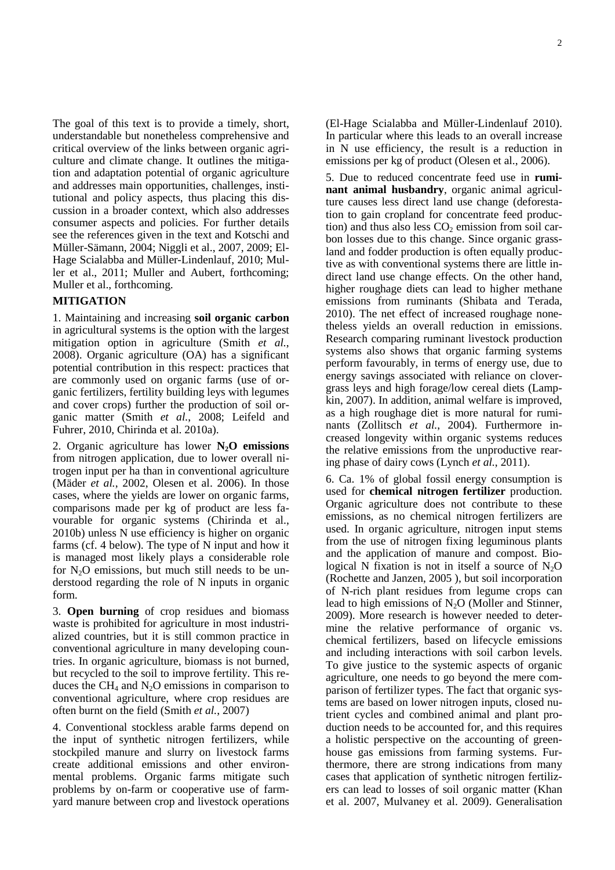The goal of this text is to provide a timely, short, understandable but nonetheless comprehensive and critical overview of the links between organic agriculture and climate change. It outlines the mitigation and adaptation potential of organic agriculture and addresses main opportunities, challenges, institutional and policy aspects, thus placing this discussion in a broader context, which also addresses consumer aspects and policies. For further details see the references given in the text and Kotschi and Müller-Sämann, 2004; Niggli et al., 2007, 2009; El-Hage Scialabba and Müller-Lindenlauf, 2010; Muller et al., 2011; Muller and Aubert, forthcoming; Muller et al., forthcoming.

#### **MITIGATION**

1. Maintaining and increasing **soil organic carbon** in agricultural systems is the option with the largest mitigation option in agriculture (Smith *et al.*, 2008). Organic agriculture (OA) has a significant potential contribution in this respect: practices that are commonly used on organic farms (use of organic fertilizers, fertility building leys with legumes and cover crops) further the production of soil organic matter (Smith *et al.*, 2008; Leifeld and Fuhrer, 2010, Chirinda et al. 2010a).

2. Organic agriculture has lower **N2O emissions** from nitrogen application, due to lower overall nitrogen input per ha than in conventional agriculture (Mäder *et al.*, 2002, Olesen et al. 2006). In those cases, where the yields are lower on organic farms, comparisons made per kg of product are less favourable for organic systems (Chirinda et al., 2010b) unless N use efficiency is higher on organic farms (cf. 4 below). The type of N input and how it is managed most likely plays a considerable role for  $N_2O$  emissions, but much still needs to be understood regarding the role of N inputs in organic form.

3. **Open burning** of crop residues and biomass waste is prohibited for agriculture in most industrialized countries, but it is still common practice in conventional agriculture in many developing countries. In organic agriculture, biomass is not burned, but recycled to the soil to improve fertility. This reduces the  $CH_4$  and  $N_2O$  emissions in comparison to conventional agriculture, where crop residues are often burnt on the field (Smith *et al.*, 2007)

4. Conventional stockless arable farms depend on the input of synthetic nitrogen fertilizers, while stockpiled manure and slurry on livestock farms create additional emissions and other environmental problems. Organic farms mitigate such problems by on-farm or cooperative use of farmyard manure between crop and livestock operations (El-Hage Scialabba and Müller-Lindenlauf 2010). In particular where this leads to an overall increase in N use efficiency, the result is a reduction in emissions per kg of product (Olesen et al., 2006).

5. Due to reduced concentrate feed use in **ruminant animal husbandry**, organic animal agriculture causes less direct land use change (deforestation to gain cropland for concentrate feed production) and thus also less  $CO<sub>2</sub>$  emission from soil carbon losses due to this change. Since organic grassland and fodder production is often equally productive as with conventional systems there are little indirect land use change effects. On the other hand, higher roughage diets can lead to higher methane emissions from ruminants (Shibata and Terada, 2010). The net effect of increased roughage nonetheless yields an overall reduction in emissions. Research comparing ruminant livestock production systems also shows that organic farming systems perform favourably, in terms of energy use, due to energy savings associated with reliance on clovergrass leys and high forage/low cereal diets (Lampkin, 2007). In addition, animal welfare is improved, as a high roughage diet is more natural for ruminants (Zollitsch *et al.*, 2004). Furthermore increased longevity within organic systems reduces the relative emissions from the unproductive rearing phase of dairy cows (Lynch *et al.*, 2011).

6. Ca. 1% of global fossil energy consumption is used for **chemical nitrogen fertilizer** production. Organic agriculture does not contribute to these emissions, as no chemical nitrogen fertilizers are used. In organic agriculture, nitrogen input stems from the use of nitrogen fixing leguminous plants and the application of manure and compost. Biological N fixation is not in itself a source of  $N_2O$ (Rochette and Janzen, 2005 ), but soil incorporation of N-rich plant residues from legume crops can lead to high emissions of  $N_2O$  (Moller and Stinner, 2009). More research is however needed to determine the relative performance of organic vs. chemical fertilizers, based on lifecycle emissions and including interactions with soil carbon levels. To give justice to the systemic aspects of organic agriculture, one needs to go beyond the mere comparison of fertilizer types. The fact that organic systems are based on lower nitrogen inputs, closed nutrient cycles and combined animal and plant production needs to be accounted for, and this requires a holistic perspective on the accounting of greenhouse gas emissions from farming systems. Furthermore, there are strong indications from many cases that application of synthetic nitrogen fertilizers can lead to losses of soil organic matter (Khan et al. 2007, Mulvaney et al. 2009). Generalisation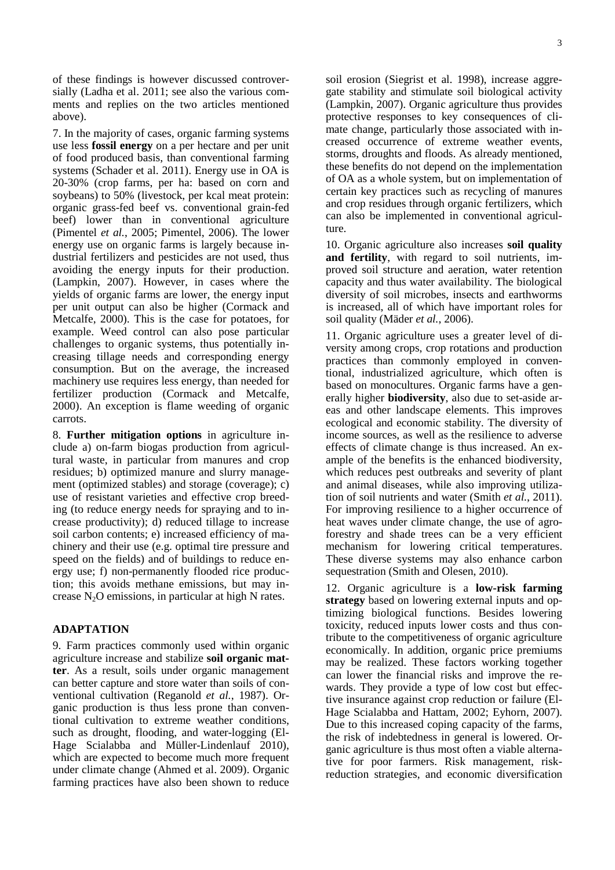of these findings is however discussed controversially (Ladha et al. 2011; see also the various comments and replies on the two articles mentioned above).

7. In the majority of cases, organic farming systems use less **fossil energy** on a per hectare and per unit of food produced basis, than conventional farming systems (Schader et al. 2011). Energy use in OA is 20-30% (crop farms, per ha: based on corn and soybeans) to 50% (livestock, per kcal meat protein: organic grass-fed beef vs. conventional grain-fed beef) lower than in conventional agriculture (Pimentel *et al.*, 2005; Pimentel, 2006). The lower energy use on organic farms is largely because industrial fertilizers and pesticides are not used, thus avoiding the energy inputs for their production. (Lampkin, 2007). However, in cases where the yields of organic farms are lower, the energy input per unit output can also be higher (Cormack and Metcalfe, 2000). This is the case for potatoes, for example. Weed control can also pose particular challenges to organic systems, thus potentially increasing tillage needs and corresponding energy consumption. But on the average, the increased machinery use requires less energy, than needed for fertilizer production (Cormack and Metcalfe, 2000). An exception is flame weeding of organic carrots.

8. **Further mitigation options** in agriculture include a) on-farm biogas production from agricultural waste, in particular from manures and crop residues; b) optimized manure and slurry management (optimized stables) and storage (coverage); c) use of resistant varieties and effective crop breeding (to reduce energy needs for spraying and to increase productivity); d) reduced tillage to increase soil carbon contents; e) increased efficiency of machinery and their use (e.g. optimal tire pressure and speed on the fields) and of buildings to reduce energy use; f) non-permanently flooded rice production; this avoids methane emissions, but may increase  $N_2O$  emissions, in particular at high N rates.

#### **ADAPTATION**

9. Farm practices commonly used within organic agriculture increase and stabilize **soil organic matter**. As a result, soils under organic management can better capture and store water than soils of conventional cultivation (Reganold *et al.*, 1987). Organic production is thus less prone than conventional cultivation to extreme weather conditions, such as drought, flooding, and water-logging (El-Hage Scialabba and Müller-Lindenlauf 2010), which are expected to become much more frequent under climate change (Ahmed et al. 2009). Organic farming practices have also been shown to reduce

soil erosion (Siegrist et al. 1998), increase aggregate stability and stimulate soil biological activity (Lampkin, 2007). Organic agriculture thus provides protective responses to key consequences of climate change, particularly those associated with increased occurrence of extreme weather events, storms, droughts and floods. As already mentioned, these benefits do not depend on the implementation of OA as a whole system, but on implementation of certain key practices such as recycling of manures and crop residues through organic fertilizers, which can also be implemented in conventional agriculture.

10. Organic agriculture also increases **soil quality and fertility**, with regard to soil nutrients, improved soil structure and aeration, water retention capacity and thus water availability. The biological diversity of soil microbes, insects and earthworms is increased, all of which have important roles for soil quality (Mäder *et al.*, 2006).

11. Organic agriculture uses a greater level of diversity among crops, crop rotations and production practices than commonly employed in conventional, industrialized agriculture, which often is based on monocultures. Organic farms have a generally higher **biodiversity**, also due to set-aside areas and other landscape elements. This improves ecological and economic stability. The diversity of income sources, as well as the resilience to adverse effects of climate change is thus increased. An example of the benefits is the enhanced biodiversity, which reduces pest outbreaks and severity of plant and animal diseases, while also improving utilization of soil nutrients and water (Smith *et al.*, 2011). For improving resilience to a higher occurrence of heat waves under climate change, the use of agroforestry and shade trees can be a very efficient mechanism for lowering critical temperatures. These diverse systems may also enhance carbon sequestration (Smith and Olesen, 2010).

12. Organic agriculture is a **low-risk farming strategy** based on lowering external inputs and optimizing biological functions. Besides lowering toxicity, reduced inputs lower costs and thus contribute to the competitiveness of organic agriculture economically. In addition, organic price premiums may be realized. These factors working together can lower the financial risks and improve the rewards. They provide a type of low cost but effective insurance against crop reduction or failure (El-Hage Scialabba and Hattam, 2002; Eyhorn, 2007). Due to this increased coping capacity of the farms, the risk of indebtedness in general is lowered. Organic agriculture is thus most often a viable alternative for poor farmers. Risk management, riskreduction strategies, and economic diversification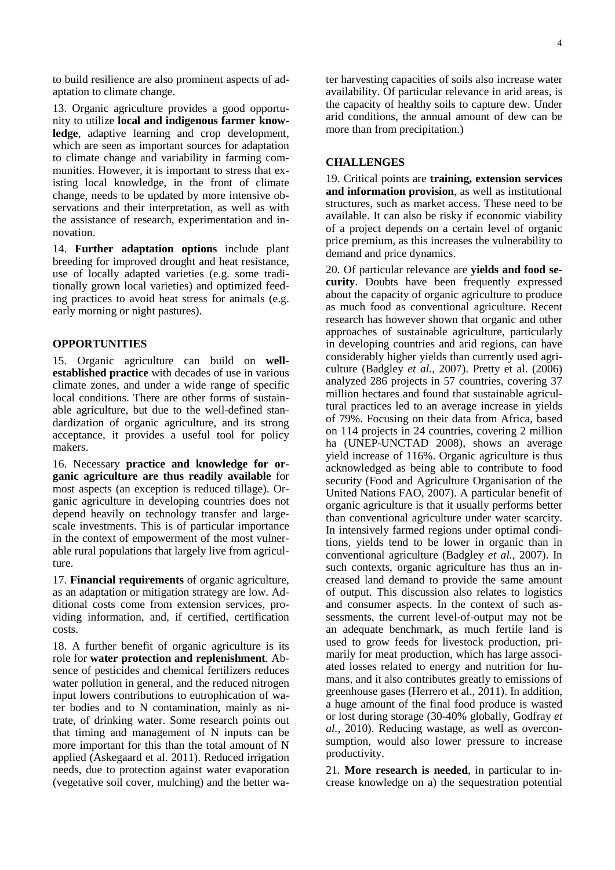to build resilience are also prominent aspects of adaptation to climate change.

13. Organic agriculture provides a good opportunity to utilize **local and indigenous farmer knowledge**, adaptive learning and crop development, which are seen as important sources for adaptation to climate change and variability in farming communities. However, it is important to stress that existing local knowledge, in the front of climate change, needs to be updated by more intensive observations and their interpretation, as well as with the assistance of research, experimentation and innovation.

14. **Further adaptation options** include plant breeding for improved drought and heat resistance, use of locally adapted varieties (e.g. some traditionally grown local varieties) and optimized feeding practices to avoid heat stress for animals (e.g. early morning or night pastures).

#### **OPPORTUNITIES**

15. Organic agriculture can build on **wellestablished practice** with decades of use in various climate zones, and under a wide range of specific local conditions. There are other forms of sustainable agriculture, but due to the well-defined standardization of organic agriculture, and its strong acceptance, it provides a useful tool for policy makers.

16. Necessary **practice and knowledge for organic agriculture are thus readily available** for most aspects (an exception is reduced tillage). Organic agriculture in developing countries does not depend heavily on technology transfer and largescale investments. This is of particular importance in the context of empowerment of the most vulnerable rural populations that largely live from agriculture.

17. **Financial requirements** of organic agriculture, as an adaptation or mitigation strategy are low. Additional costs come from extension services, providing information, and, if certified, certification costs.

18. A further benefit of organic agriculture is its role for **water protection and replenishment**. Absence of pesticides and chemical fertilizers reduces water pollution in general, and the reduced nitrogen input lowers contributions to eutrophication of water bodies and to N contamination, mainly as nitrate, of drinking water. Some research points out that timing and management of N inputs can be more important for this than the total amount of N applied (Askegaard et al. 2011). Reduced irrigation needs, due to protection against water evaporation (vegetative soil cover, mulching) and the better water harvesting capacities of soils also increase water availability. Of particular relevance in arid areas, is the capacity of healthy soils to capture dew. Under arid conditions, the annual amount of dew can be more than from precipitation.)

#### **CHALLENGES**

19. Critical points are **training, extension services and information provision**, as well as institutional structures, such as market access. These need to be available. It can also be risky if economic viability of a project depends on a certain level of organic price premium, as this increases the vulnerability to demand and price dynamics.

20. Of particular relevance are **yields and food security**. Doubts have been frequently expressed about the capacity of organic agriculture to produce as much food as conventional agriculture. Recent research has however shown that organic and other approaches of sustainable agriculture, particularly in developing countries and arid regions, can have considerably higher yields than currently used agriculture (Badgley *et al.*, 2007). Pretty et al. (2006) analyzed 286 projects in 57 countries, covering 37 million hectares and found that sustainable agricultural practices led to an average increase in yields of 79%. Focusing on their data from Africa, based on 114 projects in 24 countries, covering 2 million ha (UNEP-UNCTAD 2008), shows an average yield increase of 116%. Organic agriculture is thus acknowledged as being able to contribute to food security (Food and Agriculture Organisation of the United Nations FAO, 2007). A particular benefit of organic agriculture is that it usually performs better than conventional agriculture under water scarcity. In intensively farmed regions under optimal conditions, yields tend to be lower in organic than in conventional agriculture (Badgley *et al.*, 2007). In such contexts, organic agriculture has thus an increased land demand to provide the same amount of output. This discussion also relates to logistics and consumer aspects. In the context of such assessments, the current level-of-output may not be an adequate benchmark, as much fertile land is used to grow feeds for livestock production, primarily for meat production, which has large associated losses related to energy and nutrition for humans, and it also contributes greatly to emissions of greenhouse gases (Herrero et al., 2011). In addition, a huge amount of the final food produce is wasted or lost during storage (30-40% globally, Godfray *et al.*, 2010). Reducing wastage, as well as overconsumption, would also lower pressure to increase productivity.

21. **More research is needed**, in particular to increase knowledge on a) the sequestration potential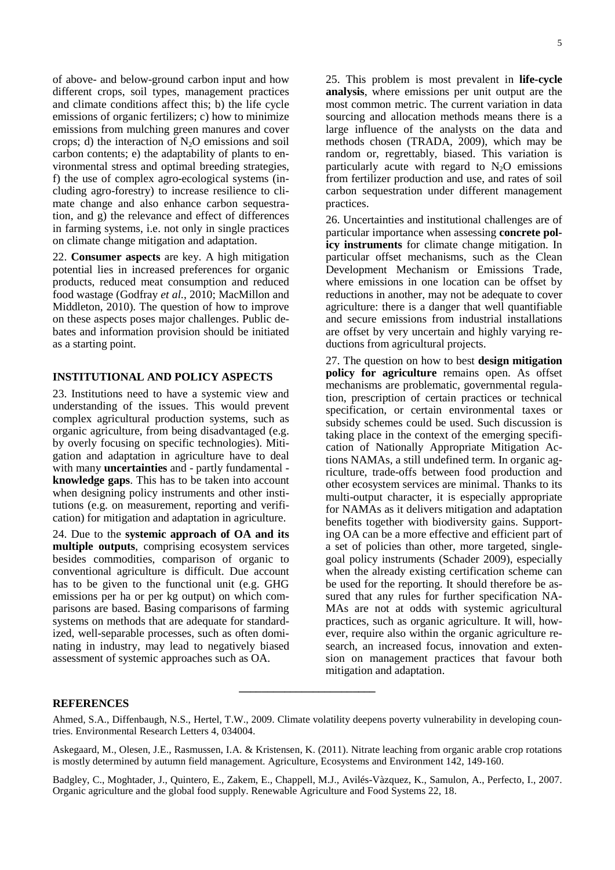of above- and below-ground carbon input and how different crops, soil types, management practices and climate conditions affect this; b) the life cycle emissions of organic fertilizers; c) how to minimize emissions from mulching green manures and cover crops; d) the interaction of  $N_2O$  emissions and soil carbon contents; e) the adaptability of plants to environmental stress and optimal breeding strategies, f) the use of complex agro-ecological systems (including agro-forestry) to increase resilience to climate change and also enhance carbon sequestration, and g) the relevance and effect of differences in farming systems, i.e. not only in single practices on climate change mitigation and adaptation.

22. **Consumer aspects** are key. A high mitigation potential lies in increased preferences for organic products, reduced meat consumption and reduced food wastage (Godfray *et al.*, 2010; MacMillon and Middleton, 2010). The question of how to improve on these aspects poses major challenges. Public debates and information provision should be initiated as a starting point.

#### **INSTITUTIONAL AND POLICY ASPECTS**

23. Institutions need to have a systemic view and understanding of the issues. This would prevent complex agricultural production systems, such as organic agriculture, from being disadvantaged (e.g. by overly focusing on specific technologies). Mitigation and adaptation in agriculture have to deal with many **uncertainties** and - partly fundamental **knowledge gaps**. This has to be taken into account when designing policy instruments and other institutions (e.g. on measurement, reporting and verification) for mitigation and adaptation in agriculture.

24. Due to the **systemic approach of OA and its multiple outputs**, comprising ecosystem services besides commodities, comparison of organic to conventional agriculture is difficult. Due account has to be given to the functional unit (e.g. GHG emissions per ha or per kg output) on which comparisons are based. Basing comparisons of farming systems on methods that are adequate for standardized, well-separable processes, such as often dominating in industry, may lead to negatively biased assessment of systemic approaches such as OA.

25. This problem is most prevalent in **life-cycle analysis**, where emissions per unit output are the most common metric. The current variation in data sourcing and allocation methods means there is a large influence of the analysts on the data and methods chosen (TRADA, 2009), which may be random or, regrettably, biased. This variation is particularly acute with regard to  $N_2O$  emissions from fertilizer production and use, and rates of soil carbon sequestration under different management practices.

26. Uncertainties and institutional challenges are of particular importance when assessing **concrete policy instruments** for climate change mitigation. In particular offset mechanisms, such as the Clean Development Mechanism or Emissions Trade, where emissions in one location can be offset by reductions in another, may not be adequate to cover agriculture: there is a danger that well quantifiable and secure emissions from industrial installations are offset by very uncertain and highly varying reductions from agricultural projects.

27. The question on how to best **design mitigation policy for agriculture** remains open. As offset mechanisms are problematic, governmental regulation, prescription of certain practices or technical specification, or certain environmental taxes or subsidy schemes could be used. Such discussion is taking place in the context of the emerging specification of Nationally Appropriate Mitigation Actions NAMAs, a still undefined term. In organic agriculture, trade-offs between food production and other ecosystem services are minimal. Thanks to its multi-output character, it is especially appropriate for NAMAs as it delivers mitigation and adaptation benefits together with biodiversity gains. Supporting OA can be a more effective and efficient part of a set of policies than other, more targeted, singlegoal policy instruments (Schader 2009), especially when the already existing certification scheme can be used for the reporting. It should therefore be assured that any rules for further specification NA-MAs are not at odds with systemic agricultural practices, such as organic agriculture. It will, however, require also within the organic agriculture research, an increased focus, innovation and extension on management practices that favour both mitigation and adaptation.

#### **REFERENCES**

**\_\_\_\_\_\_\_\_\_\_\_\_\_\_\_\_\_\_\_\_\_\_\_\_**

Ahmed, S.A., Diffenbaugh, N.S., Hertel, T.W., 2009. Climate volatility deepens poverty vulnerability in developing countries. Environmental Research Letters 4, 034004.

Askegaard, M., Olesen, J.E., Rasmussen, I.A. & Kristensen, K. (2011). Nitrate leaching from organic arable crop rotations is mostly determined by autumn field management. Agriculture, Ecosystems and Environment 142, 149-160.

Badgley, C., Moghtader, J., Quintero, E., Zakem, E., Chappell, M.J., Avilés-Vàzquez, K., Samulon, A., Perfecto, I., 2007. Organic agriculture and the global food supply. Renewable Agriculture and Food Systems 22, 18.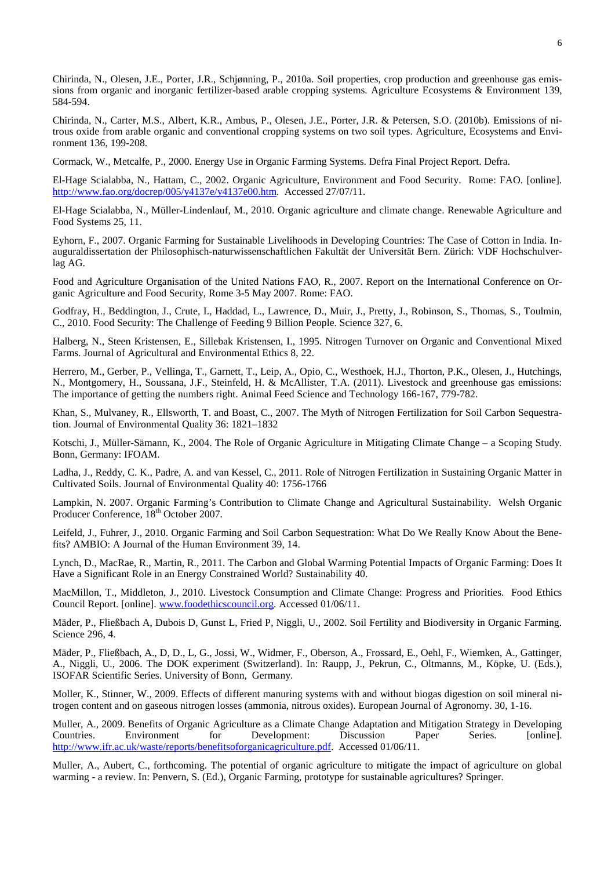Chirinda, N., Olesen, J.E., Porter, J.R., Schjønning, P., 2010a. Soil properties, crop production and greenhouse gas emissions from organic and inorganic fertilizer-based arable cropping systems. Agriculture Ecosystems & Environment 139, 584-594.

Chirinda, N., Carter, M.S., Albert, K.R., Ambus, P., Olesen, J.E., Porter, J.R. & Petersen, S.O. (2010b). Emissions of nitrous oxide from arable organic and conventional cropping systems on two soil types. Agriculture, Ecosystems and Environment 136, 199-208.

Cormack, W., Metcalfe, P., 2000. Energy Use in Organic Farming Systems. Defra Final Project Report. Defra.

El-Hage Scialabba, N., Hattam, C., 2002. Organic Agriculture, Environment and Food Security. Rome: FAO. [online]. [http://www.fao.org/docrep/005/y4137e/y4137e00.htm.](http://www.fao.org/docrep/005/y4137e/y4137e00.htm) Accessed 27/07/11.

El-Hage Scialabba, N., Müller-Lindenlauf, M., 2010. Organic agriculture and climate change. Renewable Agriculture and Food Systems 25, 11.

Eyhorn, F., 2007. Organic Farming for Sustainable Livelihoods in Developing Countries: The Case of Cotton in India. Inauguraldissertation der Philosophisch-naturwissenschaftlichen Fakultät der Universität Bern. Zürich: VDF Hochschulverlag AG.

Food and Agriculture Organisation of the United Nations FAO, R., 2007. Report on the International Conference on Organic Agriculture and Food Security, Rome 3-5 May 2007. Rome: FAO.

Godfray, H., Beddington, J., Crute, I., Haddad, L., Lawrence, D., Muir, J., Pretty, J., Robinson, S., Thomas, S., Toulmin, C., 2010. Food Security: The Challenge of Feeding 9 Billion People. Science 327, 6.

Halberg, N., Steen Kristensen, E., Sillebak Kristensen, I., 1995. Nitrogen Turnover on Organic and Conventional Mixed Farms. Journal of Agricultural and Environmental Ethics 8, 22.

Herrero, M., Gerber, P., Vellinga, T., Garnett, T., Leip, A., Opio, C., Westhoek, H.J., Thorton, P.K., Olesen, J., Hutchings, N., Montgomery, H., Soussana, J.F., Steinfeld, H. & McAllister, T.A. (2011). Livestock and greenhouse gas emissions: The importance of getting the numbers right. Animal Feed Science and Technology 166-167, 779-782.

Khan, S., Mulvaney, R., Ellsworth, T. and Boast, C., 2007. The Myth of Nitrogen Fertilization for Soil Carbon Sequestration. Journal of Environmental Quality 36: 1821–1832

Kotschi, J., Müller-Sämann, K., 2004. The Role of Organic Agriculture in Mitigating Climate Change – a Scoping Study. Bonn, Germany: IFOAM.

Ladha, J., Reddy, C. K., Padre, A. and van Kessel, C., 2011. Role of Nitrogen Fertilization in Sustaining Organic Matter in Cultivated Soils. Journal of Environmental Quality 40: 1756-1766

Lampkin, N. 2007. Organic Farming's Contribution to Climate Change and Agricultural Sustainability. Welsh Organic Producer Conference, 18<sup>th</sup> October 2007.

Leifeld, J., Fuhrer, J., 2010. Organic Farming and Soil Carbon Sequestration: What Do We Really Know About the Benefits? AMBIO: A Journal of the Human Environment 39, 14.

Lynch, D., MacRae, R., Martin, R., 2011. The Carbon and Global Warming Potential Impacts of Organic Farming: Does It Have a Significant Role in an Energy Constrained World? Sustainability 40.

MacMillon, T., Middleton, J., 2010. Livestock Consumption and Climate Change: Progress and Priorities. Food Ethics Council Report. [online]. [www.foodethicscouncil.org.](http://www.foodethicscouncil.org/) Accessed 01/06/11.

Mäder, P., Fließbach A, Dubois D, Gunst L, Fried P, Niggli, U., 2002. Soil Fertility and Biodiversity in Organic Farming. Science 296, 4.

Mäder, P., Fließbach, A., D, D., L, G., Jossi, W., Widmer, F., Oberson, A., Frossard, E., Oehl, F., Wiemken, A., Gattinger, A., Niggli, U., 2006. The DOK experiment (Switzerland). In: Raupp, J., Pekrun, C., Oltmanns, M., Köpke, U. (Eds.), ISOFAR Scientific Series. University of Bonn, Germany.

Moller, K., Stinner, W., 2009. Effects of different manuring systems with and without biogas digestion on soil mineral nitrogen content and on gaseous nitrogen losses (ammonia, nitrous oxides). European Journal of Agronomy. 30, 1-16.

Muller, A., 2009. Benefits of Organic Agriculture as a Climate Change Adaptation and Mitigation Strategy in Developing Countries. Environment for Development: Discussion Paper Series. [online]. [http://www.ifr.ac.uk/waste/reports/benefitsoforganicagriculture.pdf.](http://www.ifr.ac.uk/waste/reports/benefitsoforganicagriculture.pdf) Accessed 01/06/11.

Muller, A., Aubert, C., forthcoming. The potential of organic agriculture to mitigate the impact of agriculture on global warming - a review. In: Penvern, S. (Ed.), Organic Farming, prototype for sustainable agricultures? Springer.